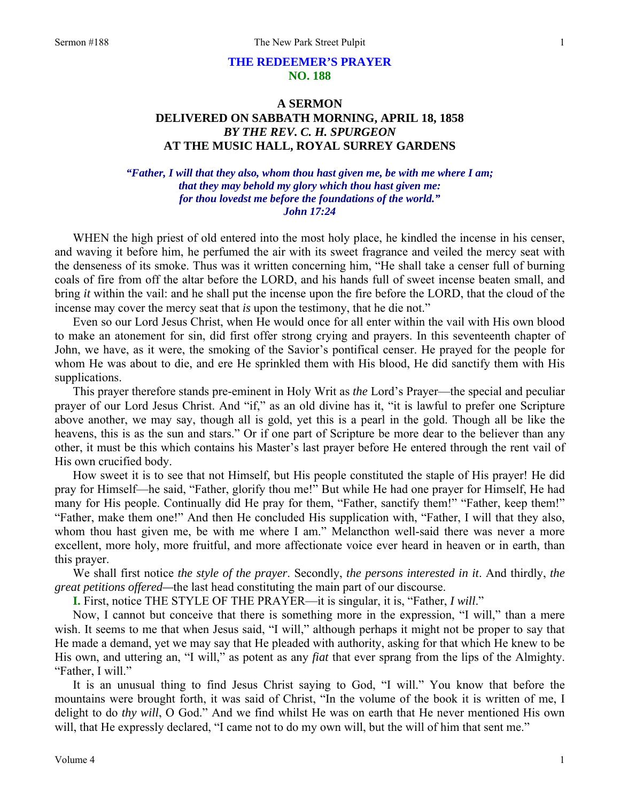### **THE REDEEMER'S PRAYER NO. 188**

## **A SERMON DELIVERED ON SABBATH MORNING, APRIL 18, 1858**  *BY THE REV. C. H. SPURGEON*  **AT THE MUSIC HALL, ROYAL SURREY GARDENS**

#### *"Father, I will that they also, whom thou hast given me, be with me where I am; that they may behold my glory which thou hast given me: for thou lovedst me before the foundations of the world." John 17:24*

WHEN the high priest of old entered into the most holy place, he kindled the incense in his censer, and waving it before him, he perfumed the air with its sweet fragrance and veiled the mercy seat with the denseness of its smoke. Thus was it written concerning him, "He shall take a censer full of burning coals of fire from off the altar before the LORD, and his hands full of sweet incense beaten small, and bring *it* within the vail: and he shall put the incense upon the fire before the LORD, that the cloud of the incense may cover the mercy seat that *is* upon the testimony, that he die not."

Even so our Lord Jesus Christ, when He would once for all enter within the vail with His own blood to make an atonement for sin, did first offer strong crying and prayers. In this seventeenth chapter of John, we have, as it were, the smoking of the Savior's pontifical censer. He prayed for the people for whom He was about to die, and ere He sprinkled them with His blood, He did sanctify them with His supplications.

This prayer therefore stands pre-eminent in Holy Writ as *the* Lord's Prayer—the special and peculiar prayer of our Lord Jesus Christ. And "if," as an old divine has it, "it is lawful to prefer one Scripture above another, we may say, though all is gold, yet this is a pearl in the gold. Though all be like the heavens, this is as the sun and stars." Or if one part of Scripture be more dear to the believer than any other, it must be this which contains his Master's last prayer before He entered through the rent vail of His own crucified body.

How sweet it is to see that not Himself, but His people constituted the staple of His prayer! He did pray for Himself—he said, "Father, glorify thou me!" But while He had one prayer for Himself, He had many for His people. Continually did He pray for them, "Father, sanctify them!" "Father, keep them!" "Father, make them one!" And then He concluded His supplication with, "Father, I will that they also, whom thou hast given me, be with me where I am." Melancthon well-said there was never a more excellent, more holy, more fruitful, and more affectionate voice ever heard in heaven or in earth, than this prayer.

We shall first notice *the style of the prayer*. Secondly, *the persons interested in it*. And thirdly, *the great petitions offered—*the last head constituting the main part of our discourse.

**I.** First, notice THE STYLE OF THE PRAYER—it is singular, it is, "Father, *I will*."

Now, I cannot but conceive that there is something more in the expression, "I will," than a mere wish. It seems to me that when Jesus said, "I will," although perhaps it might not be proper to say that He made a demand, yet we may say that He pleaded with authority, asking for that which He knew to be His own, and uttering an, "I will," as potent as any *fiat* that ever sprang from the lips of the Almighty. "Father, I will."

It is an unusual thing to find Jesus Christ saying to God, "I will." You know that before the mountains were brought forth, it was said of Christ, "In the volume of the book it is written of me, I delight to do *thy will*, O God." And we find whilst He was on earth that He never mentioned His own will, that He expressly declared, "I came not to do my own will, but the will of him that sent me."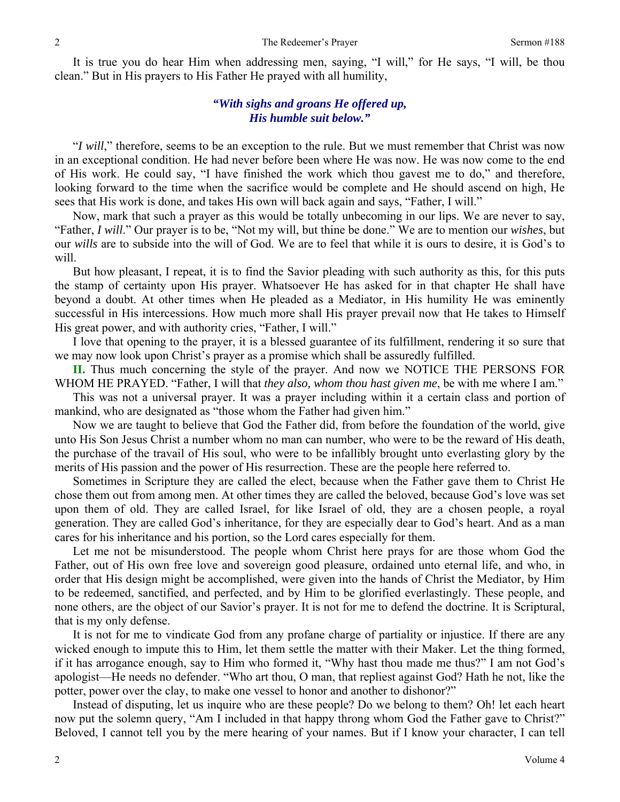It is true you do hear Him when addressing men, saying, "I will," for He says, "I will, be thou clean." But in His prayers to His Father He prayed with all humility,

#### *"With sighs and groans He offered up, His humble suit below."*

"*I will*," therefore, seems to be an exception to the rule. But we must remember that Christ was now in an exceptional condition. He had never before been where He was now. He was now come to the end of His work. He could say, "I have finished the work which thou gavest me to do," and therefore, looking forward to the time when the sacrifice would be complete and He should ascend on high, He sees that His work is done, and takes His own will back again and says, "Father, I will."

Now, mark that such a prayer as this would be totally unbecoming in our lips. We are never to say, "Father, *I will*." Our prayer is to be, "Not my will, but thine be done." We are to mention our *wishes*, but our *wills* are to subside into the will of God. We are to feel that while it is ours to desire, it is God's to will.

But how pleasant, I repeat, it is to find the Savior pleading with such authority as this, for this puts the stamp of certainty upon His prayer. Whatsoever He has asked for in that chapter He shall have beyond a doubt. At other times when He pleaded as a Mediator, in His humility He was eminently successful in His intercessions. How much more shall His prayer prevail now that He takes to Himself His great power, and with authority cries, "Father, I will."

I love that opening to the prayer, it is a blessed guarantee of its fulfillment, rendering it so sure that we may now look upon Christ's prayer as a promise which shall be assuredly fulfilled.

**II.** Thus much concerning the style of the prayer. And now we NOTICE THE PERSONS FOR WHOM HE PRAYED. "Father, I will that *they also, whom thou hast given me*, be with me where I am."

This was not a universal prayer. It was a prayer including within it a certain class and portion of mankind, who are designated as "those whom the Father had given him."

Now we are taught to believe that God the Father did, from before the foundation of the world, give unto His Son Jesus Christ a number whom no man can number, who were to be the reward of His death, the purchase of the travail of His soul, who were to be infallibly brought unto everlasting glory by the merits of His passion and the power of His resurrection. These are the people here referred to.

Sometimes in Scripture they are called the elect, because when the Father gave them to Christ He chose them out from among men. At other times they are called the beloved, because God's love was set upon them of old. They are called Israel, for like Israel of old, they are a chosen people, a royal generation. They are called God's inheritance, for they are especially dear to God's heart. And as a man cares for his inheritance and his portion, so the Lord cares especially for them.

Let me not be misunderstood. The people whom Christ here prays for are those whom God the Father, out of His own free love and sovereign good pleasure, ordained unto eternal life, and who, in order that His design might be accomplished, were given into the hands of Christ the Mediator, by Him to be redeemed, sanctified, and perfected, and by Him to be glorified everlastingly. These people, and none others, are the object of our Savior's prayer. It is not for me to defend the doctrine. It is Scriptural, that is my only defense.

It is not for me to vindicate God from any profane charge of partiality or injustice. If there are any wicked enough to impute this to Him, let them settle the matter with their Maker. Let the thing formed, if it has arrogance enough, say to Him who formed it, "Why hast thou made me thus?" I am not God's apologist—He needs no defender. "Who art thou, O man, that repliest against God? Hath he not, like the potter, power over the clay, to make one vessel to honor and another to dishonor?"

Instead of disputing, let us inquire who are these people? Do we belong to them? Oh! let each heart now put the solemn query, "Am I included in that happy throng whom God the Father gave to Christ?" Beloved, I cannot tell you by the mere hearing of your names. But if I know your character, I can tell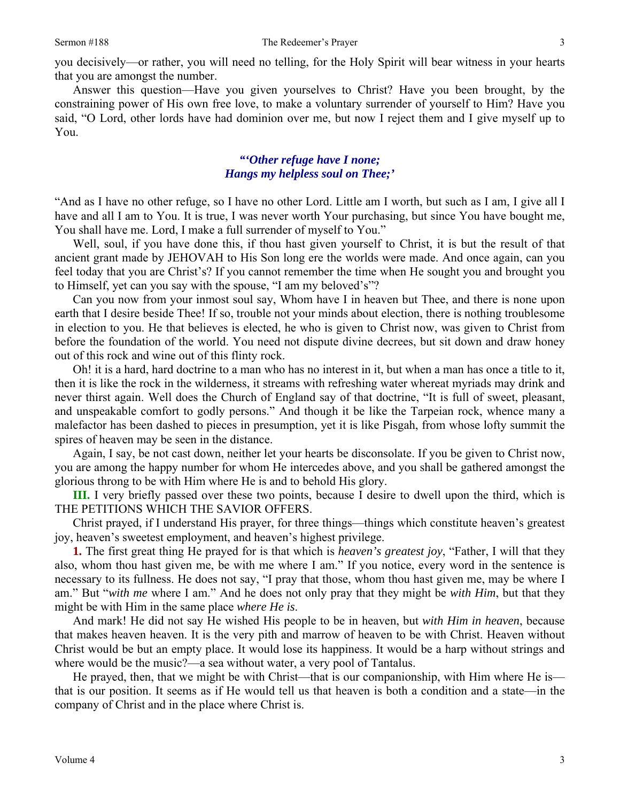you decisively—or rather, you will need no telling, for the Holy Spirit will bear witness in your hearts that you are amongst the number.

Answer this question—Have you given yourselves to Christ? Have you been brought, by the constraining power of His own free love, to make a voluntary surrender of yourself to Him? Have you said, "O Lord, other lords have had dominion over me, but now I reject them and I give myself up to You.

### *"'Other refuge have I none; Hangs my helpless soul on Thee;'*

"And as I have no other refuge, so I have no other Lord. Little am I worth, but such as I am, I give all I have and all I am to You. It is true, I was never worth Your purchasing, but since You have bought me, You shall have me. Lord, I make a full surrender of myself to You."

Well, soul, if you have done this, if thou hast given yourself to Christ, it is but the result of that ancient grant made by JEHOVAH to His Son long ere the worlds were made. And once again, can you feel today that you are Christ's? If you cannot remember the time when He sought you and brought you to Himself, yet can you say with the spouse, "I am my beloved's"?

Can you now from your inmost soul say, Whom have I in heaven but Thee, and there is none upon earth that I desire beside Thee! If so, trouble not your minds about election, there is nothing troublesome in election to you. He that believes is elected, he who is given to Christ now, was given to Christ from before the foundation of the world. You need not dispute divine decrees, but sit down and draw honey out of this rock and wine out of this flinty rock.

Oh! it is a hard, hard doctrine to a man who has no interest in it, but when a man has once a title to it, then it is like the rock in the wilderness, it streams with refreshing water whereat myriads may drink and never thirst again. Well does the Church of England say of that doctrine, "It is full of sweet, pleasant, and unspeakable comfort to godly persons." And though it be like the Tarpeian rock, whence many a malefactor has been dashed to pieces in presumption, yet it is like Pisgah, from whose lofty summit the spires of heaven may be seen in the distance.

Again, I say, be not cast down, neither let your hearts be disconsolate. If you be given to Christ now, you are among the happy number for whom He intercedes above, and you shall be gathered amongst the glorious throng to be with Him where He is and to behold His glory.

**III.** I very briefly passed over these two points, because I desire to dwell upon the third, which is THE PETITIONS WHICH THE SAVIOR OFFERS.

Christ prayed, if I understand His prayer, for three things—things which constitute heaven's greatest joy, heaven's sweetest employment, and heaven's highest privilege.

**1.** The first great thing He prayed for is that which is *heaven's greatest joy*, "Father, I will that they also, whom thou hast given me, be with me where I am." If you notice, every word in the sentence is necessary to its fullness. He does not say, "I pray that those, whom thou hast given me, may be where I am." But "*with me* where I am." And he does not only pray that they might be *with Him*, but that they might be with Him in the same place *where He is*.

And mark! He did not say He wished His people to be in heaven, but *with Him in heaven*, because that makes heaven heaven. It is the very pith and marrow of heaven to be with Christ. Heaven without Christ would be but an empty place. It would lose its happiness. It would be a harp without strings and where would be the music?—a sea without water, a very pool of Tantalus.

He prayed, then, that we might be with Christ—that is our companionship, with Him where He is that is our position. It seems as if He would tell us that heaven is both a condition and a state—in the company of Christ and in the place where Christ is.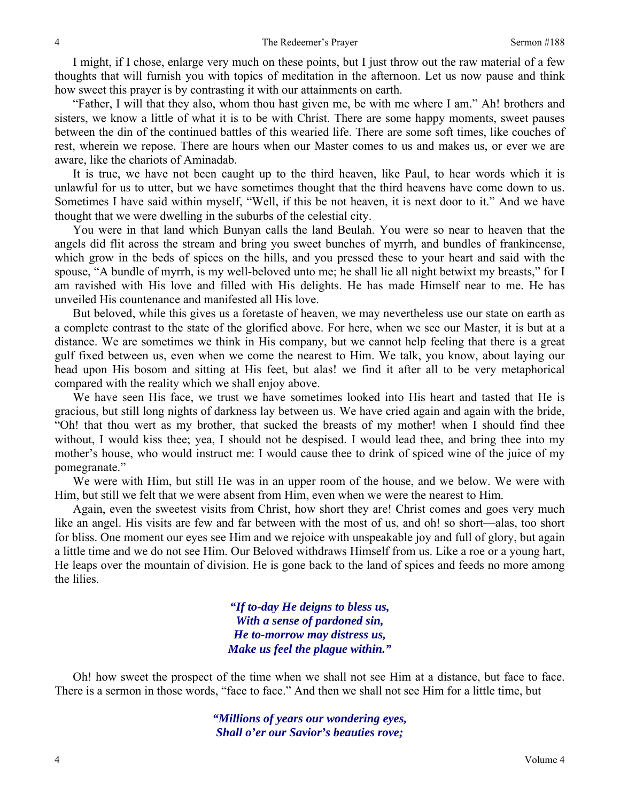I might, if I chose, enlarge very much on these points, but I just throw out the raw material of a few thoughts that will furnish you with topics of meditation in the afternoon. Let us now pause and think how sweet this prayer is by contrasting it with our attainments on earth.

"Father, I will that they also, whom thou hast given me, be with me where I am." Ah! brothers and sisters, we know a little of what it is to be with Christ. There are some happy moments, sweet pauses between the din of the continued battles of this wearied life. There are some soft times, like couches of rest, wherein we repose. There are hours when our Master comes to us and makes us, or ever we are aware, like the chariots of Aminadab.

It is true, we have not been caught up to the third heaven, like Paul, to hear words which it is unlawful for us to utter, but we have sometimes thought that the third heavens have come down to us. Sometimes I have said within myself, "Well, if this be not heaven, it is next door to it." And we have thought that we were dwelling in the suburbs of the celestial city.

You were in that land which Bunyan calls the land Beulah. You were so near to heaven that the angels did flit across the stream and bring you sweet bunches of myrrh, and bundles of frankincense, which grow in the beds of spices on the hills, and you pressed these to your heart and said with the spouse, "A bundle of myrrh, is my well-beloved unto me; he shall lie all night betwixt my breasts," for I am ravished with His love and filled with His delights. He has made Himself near to me. He has unveiled His countenance and manifested all His love.

But beloved, while this gives us a foretaste of heaven, we may nevertheless use our state on earth as a complete contrast to the state of the glorified above. For here, when we see our Master, it is but at a distance. We are sometimes we think in His company, but we cannot help feeling that there is a great gulf fixed between us, even when we come the nearest to Him. We talk, you know, about laying our head upon His bosom and sitting at His feet, but alas! we find it after all to be very metaphorical compared with the reality which we shall enjoy above.

We have seen His face, we trust we have sometimes looked into His heart and tasted that He is gracious, but still long nights of darkness lay between us. We have cried again and again with the bride, "Oh! that thou wert as my brother, that sucked the breasts of my mother! when I should find thee without, I would kiss thee; yea, I should not be despised. I would lead thee, and bring thee into my mother's house, who would instruct me: I would cause thee to drink of spiced wine of the juice of my pomegranate."

We were with Him, but still He was in an upper room of the house, and we below. We were with Him, but still we felt that we were absent from Him, even when we were the nearest to Him.

Again, even the sweetest visits from Christ, how short they are! Christ comes and goes very much like an angel. His visits are few and far between with the most of us, and oh! so short—alas, too short for bliss. One moment our eyes see Him and we rejoice with unspeakable joy and full of glory, but again a little time and we do not see Him. Our Beloved withdraws Himself from us. Like a roe or a young hart, He leaps over the mountain of division. He is gone back to the land of spices and feeds no more among the lilies.

> *"If to-day He deigns to bless us, With a sense of pardoned sin, He to-morrow may distress us, Make us feel the plague within."*

Oh! how sweet the prospect of the time when we shall not see Him at a distance, but face to face. There is a sermon in those words, "face to face." And then we shall not see Him for a little time, but

> *"Millions of years our wondering eyes, Shall o'er our Savior's beauties rove;*

4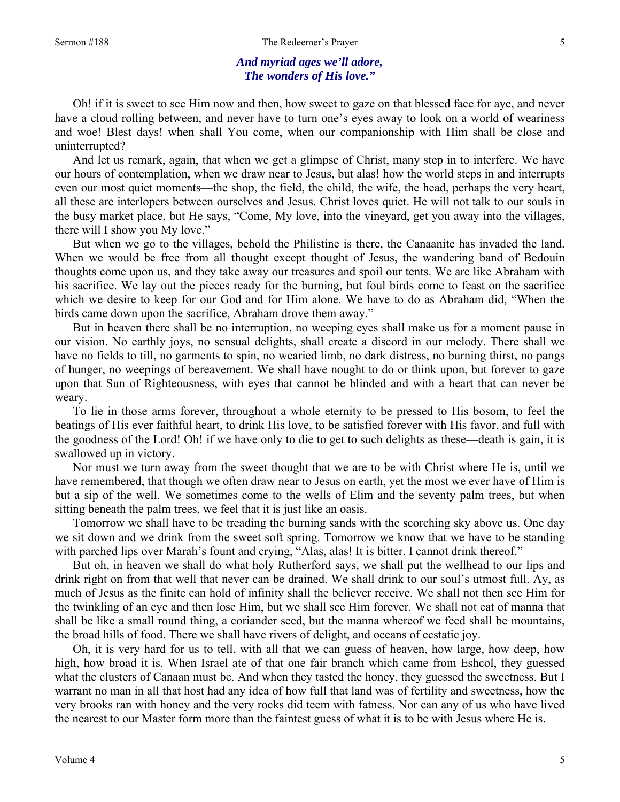### *And myriad ages we'll adore, The wonders of His love."*

Oh! if it is sweet to see Him now and then, how sweet to gaze on that blessed face for aye, and never have a cloud rolling between, and never have to turn one's eyes away to look on a world of weariness and woe! Blest days! when shall You come, when our companionship with Him shall be close and uninterrupted?

And let us remark, again, that when we get a glimpse of Christ, many step in to interfere. We have our hours of contemplation, when we draw near to Jesus, but alas! how the world steps in and interrupts even our most quiet moments—the shop, the field, the child, the wife, the head, perhaps the very heart, all these are interlopers between ourselves and Jesus. Christ loves quiet. He will not talk to our souls in the busy market place, but He says, "Come, My love, into the vineyard, get you away into the villages, there will I show you My love."

But when we go to the villages, behold the Philistine is there, the Canaanite has invaded the land. When we would be free from all thought except thought of Jesus, the wandering band of Bedouin thoughts come upon us, and they take away our treasures and spoil our tents. We are like Abraham with his sacrifice. We lay out the pieces ready for the burning, but foul birds come to feast on the sacrifice which we desire to keep for our God and for Him alone. We have to do as Abraham did, "When the birds came down upon the sacrifice, Abraham drove them away."

But in heaven there shall be no interruption, no weeping eyes shall make us for a moment pause in our vision. No earthly joys, no sensual delights, shall create a discord in our melody. There shall we have no fields to till, no garments to spin, no wearied limb, no dark distress, no burning thirst, no pangs of hunger, no weepings of bereavement. We shall have nought to do or think upon, but forever to gaze upon that Sun of Righteousness, with eyes that cannot be blinded and with a heart that can never be weary.

To lie in those arms forever, throughout a whole eternity to be pressed to His bosom, to feel the beatings of His ever faithful heart, to drink His love, to be satisfied forever with His favor, and full with the goodness of the Lord! Oh! if we have only to die to get to such delights as these—death is gain, it is swallowed up in victory.

Nor must we turn away from the sweet thought that we are to be with Christ where He is, until we have remembered, that though we often draw near to Jesus on earth, yet the most we ever have of Him is but a sip of the well. We sometimes come to the wells of Elim and the seventy palm trees, but when sitting beneath the palm trees, we feel that it is just like an oasis.

Tomorrow we shall have to be treading the burning sands with the scorching sky above us. One day we sit down and we drink from the sweet soft spring. Tomorrow we know that we have to be standing with parched lips over Marah's fount and crying, "Alas, alas! It is bitter. I cannot drink thereof."

But oh, in heaven we shall do what holy Rutherford says, we shall put the wellhead to our lips and drink right on from that well that never can be drained. We shall drink to our soul's utmost full. Ay, as much of Jesus as the finite can hold of infinity shall the believer receive. We shall not then see Him for the twinkling of an eye and then lose Him, but we shall see Him forever. We shall not eat of manna that shall be like a small round thing, a coriander seed, but the manna whereof we feed shall be mountains, the broad hills of food. There we shall have rivers of delight, and oceans of ecstatic joy.

Oh, it is very hard for us to tell, with all that we can guess of heaven, how large, how deep, how high, how broad it is. When Israel ate of that one fair branch which came from Eshcol, they guessed what the clusters of Canaan must be. And when they tasted the honey, they guessed the sweetness. But I warrant no man in all that host had any idea of how full that land was of fertility and sweetness, how the very brooks ran with honey and the very rocks did teem with fatness. Nor can any of us who have lived the nearest to our Master form more than the faintest guess of what it is to be with Jesus where He is.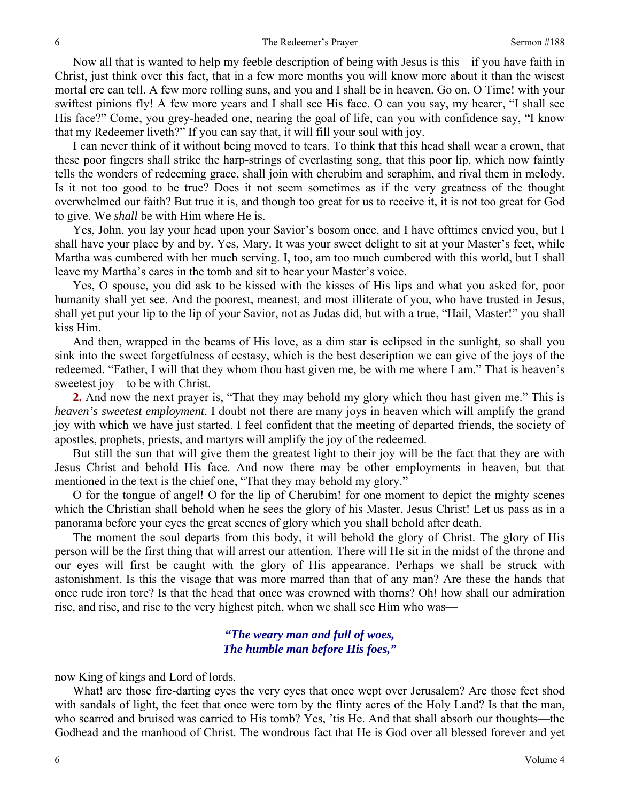Now all that is wanted to help my feeble description of being with Jesus is this—if you have faith in Christ, just think over this fact, that in a few more months you will know more about it than the wisest mortal ere can tell. A few more rolling suns, and you and I shall be in heaven. Go on, O Time! with your swiftest pinions fly! A few more years and I shall see His face. O can you say, my hearer, "I shall see His face?" Come, you grey-headed one, nearing the goal of life, can you with confidence say, "I know that my Redeemer liveth?" If you can say that, it will fill your soul with joy.

I can never think of it without being moved to tears. To think that this head shall wear a crown, that these poor fingers shall strike the harp-strings of everlasting song, that this poor lip, which now faintly tells the wonders of redeeming grace, shall join with cherubim and seraphim, and rival them in melody. Is it not too good to be true? Does it not seem sometimes as if the very greatness of the thought overwhelmed our faith? But true it is, and though too great for us to receive it, it is not too great for God to give. We *shall* be with Him where He is.

Yes, John, you lay your head upon your Savior's bosom once, and I have ofttimes envied you, but I shall have your place by and by. Yes, Mary. It was your sweet delight to sit at your Master's feet, while Martha was cumbered with her much serving. I, too, am too much cumbered with this world, but I shall leave my Martha's cares in the tomb and sit to hear your Master's voice.

Yes, O spouse, you did ask to be kissed with the kisses of His lips and what you asked for, poor humanity shall yet see. And the poorest, meanest, and most illiterate of you, who have trusted in Jesus, shall yet put your lip to the lip of your Savior, not as Judas did, but with a true, "Hail, Master!" you shall kiss Him.

And then, wrapped in the beams of His love, as a dim star is eclipsed in the sunlight, so shall you sink into the sweet forgetfulness of ecstasy, which is the best description we can give of the joys of the redeemed. "Father, I will that they whom thou hast given me, be with me where I am." That is heaven's sweetest joy—to be with Christ.

**2.** And now the next prayer is, "That they may behold my glory which thou hast given me." This is *heaven's sweetest employment*. I doubt not there are many joys in heaven which will amplify the grand joy with which we have just started. I feel confident that the meeting of departed friends, the society of apostles, prophets, priests, and martyrs will amplify the joy of the redeemed.

But still the sun that will give them the greatest light to their joy will be the fact that they are with Jesus Christ and behold His face. And now there may be other employments in heaven, but that mentioned in the text is the chief one, "That they may behold my glory."

O for the tongue of angel! O for the lip of Cherubim! for one moment to depict the mighty scenes which the Christian shall behold when he sees the glory of his Master, Jesus Christ! Let us pass as in a panorama before your eyes the great scenes of glory which you shall behold after death.

The moment the soul departs from this body, it will behold the glory of Christ. The glory of His person will be the first thing that will arrest our attention. There will He sit in the midst of the throne and our eyes will first be caught with the glory of His appearance. Perhaps we shall be struck with astonishment. Is this the visage that was more marred than that of any man? Are these the hands that once rude iron tore? Is that the head that once was crowned with thorns? Oh! how shall our admiration rise, and rise, and rise to the very highest pitch, when we shall see Him who was—

### *"The weary man and full of woes, The humble man before His foes,"*

now King of kings and Lord of lords.

What! are those fire-darting eyes the very eyes that once wept over Jerusalem? Are those feet shod with sandals of light, the feet that once were torn by the flinty acres of the Holy Land? Is that the man, who scarred and bruised was carried to His tomb? Yes, 'tis He. And that shall absorb our thoughts—the Godhead and the manhood of Christ. The wondrous fact that He is God over all blessed forever and yet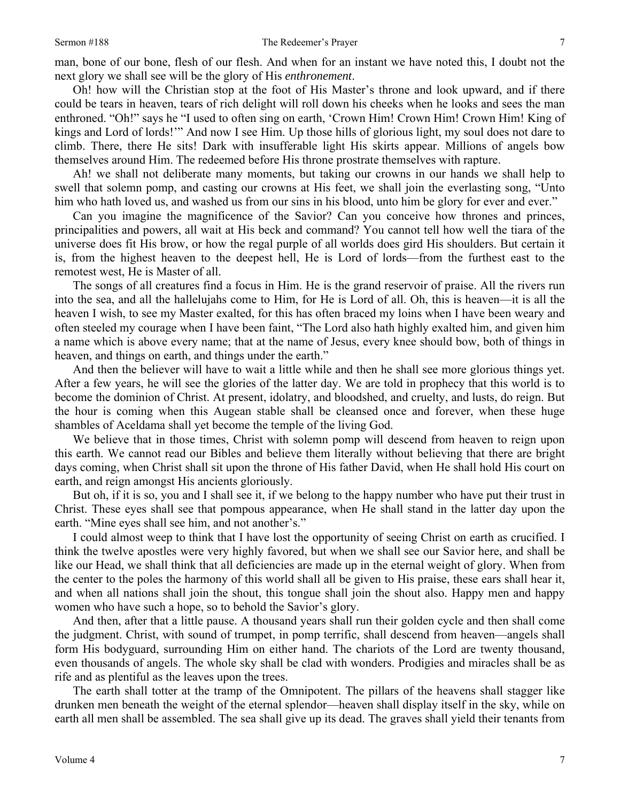man, bone of our bone, flesh of our flesh. And when for an instant we have noted this, I doubt not the next glory we shall see will be the glory of His *enthronement*.

Oh! how will the Christian stop at the foot of His Master's throne and look upward, and if there could be tears in heaven, tears of rich delight will roll down his cheeks when he looks and sees the man enthroned. "Oh!" says he "I used to often sing on earth, 'Crown Him! Crown Him! Crown Him! King of kings and Lord of lords!'" And now I see Him. Up those hills of glorious light, my soul does not dare to climb. There, there He sits! Dark with insufferable light His skirts appear. Millions of angels bow themselves around Him. The redeemed before His throne prostrate themselves with rapture.

Ah! we shall not deliberate many moments, but taking our crowns in our hands we shall help to swell that solemn pomp, and casting our crowns at His feet, we shall join the everlasting song, "Unto him who hath loved us, and washed us from our sins in his blood, unto him be glory for ever and ever."

Can you imagine the magnificence of the Savior? Can you conceive how thrones and princes, principalities and powers, all wait at His beck and command? You cannot tell how well the tiara of the universe does fit His brow, or how the regal purple of all worlds does gird His shoulders. But certain it is, from the highest heaven to the deepest hell, He is Lord of lords—from the furthest east to the remotest west, He is Master of all.

The songs of all creatures find a focus in Him. He is the grand reservoir of praise. All the rivers run into the sea, and all the hallelujahs come to Him, for He is Lord of all. Oh, this is heaven—it is all the heaven I wish, to see my Master exalted, for this has often braced my loins when I have been weary and often steeled my courage when I have been faint, "The Lord also hath highly exalted him, and given him a name which is above every name; that at the name of Jesus, every knee should bow, both of things in heaven, and things on earth, and things under the earth."

And then the believer will have to wait a little while and then he shall see more glorious things yet. After a few years, he will see the glories of the latter day. We are told in prophecy that this world is to become the dominion of Christ. At present, idolatry, and bloodshed, and cruelty, and lusts, do reign. But the hour is coming when this Augean stable shall be cleansed once and forever, when these huge shambles of Aceldama shall yet become the temple of the living God.

We believe that in those times, Christ with solemn pomp will descend from heaven to reign upon this earth. We cannot read our Bibles and believe them literally without believing that there are bright days coming, when Christ shall sit upon the throne of His father David, when He shall hold His court on earth, and reign amongst His ancients gloriously.

But oh, if it is so, you and I shall see it, if we belong to the happy number who have put their trust in Christ. These eyes shall see that pompous appearance, when He shall stand in the latter day upon the earth. "Mine eyes shall see him, and not another's."

I could almost weep to think that I have lost the opportunity of seeing Christ on earth as crucified. I think the twelve apostles were very highly favored, but when we shall see our Savior here, and shall be like our Head, we shall think that all deficiencies are made up in the eternal weight of glory. When from the center to the poles the harmony of this world shall all be given to His praise, these ears shall hear it, and when all nations shall join the shout, this tongue shall join the shout also. Happy men and happy women who have such a hope, so to behold the Savior's glory.

And then, after that a little pause. A thousand years shall run their golden cycle and then shall come the judgment. Christ, with sound of trumpet, in pomp terrific, shall descend from heaven—angels shall form His bodyguard, surrounding Him on either hand. The chariots of the Lord are twenty thousand, even thousands of angels. The whole sky shall be clad with wonders. Prodigies and miracles shall be as rife and as plentiful as the leaves upon the trees.

The earth shall totter at the tramp of the Omnipotent. The pillars of the heavens shall stagger like drunken men beneath the weight of the eternal splendor—heaven shall display itself in the sky, while on earth all men shall be assembled. The sea shall give up its dead. The graves shall yield their tenants from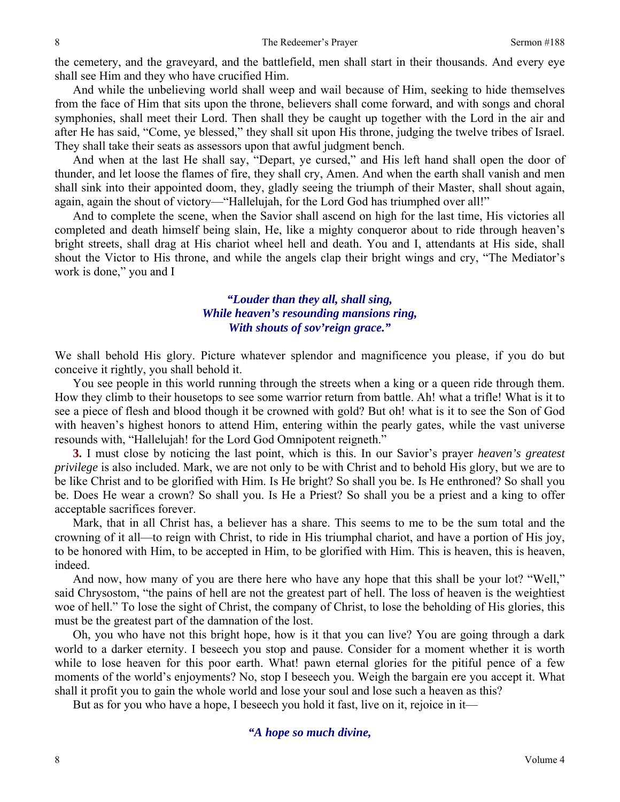the cemetery, and the graveyard, and the battlefield, men shall start in their thousands. And every eye shall see Him and they who have crucified Him.

And while the unbelieving world shall weep and wail because of Him, seeking to hide themselves from the face of Him that sits upon the throne, believers shall come forward, and with songs and choral symphonies, shall meet their Lord. Then shall they be caught up together with the Lord in the air and after He has said, "Come, ye blessed," they shall sit upon His throne, judging the twelve tribes of Israel. They shall take their seats as assessors upon that awful judgment bench.

And when at the last He shall say, "Depart, ye cursed," and His left hand shall open the door of thunder, and let loose the flames of fire, they shall cry, Amen. And when the earth shall vanish and men shall sink into their appointed doom, they, gladly seeing the triumph of their Master, shall shout again, again, again the shout of victory—"Hallelujah, for the Lord God has triumphed over all!"

And to complete the scene, when the Savior shall ascend on high for the last time, His victories all completed and death himself being slain, He, like a mighty conqueror about to ride through heaven's bright streets, shall drag at His chariot wheel hell and death. You and I, attendants at His side, shall shout the Victor to His throne, and while the angels clap their bright wings and cry, "The Mediator's work is done," you and I

### *"Louder than they all, shall sing, While heaven's resounding mansions ring, With shouts of sov'reign grace."*

We shall behold His glory. Picture whatever splendor and magnificence you please, if you do but conceive it rightly, you shall behold it.

You see people in this world running through the streets when a king or a queen ride through them. How they climb to their housetops to see some warrior return from battle. Ah! what a trifle! What is it to see a piece of flesh and blood though it be crowned with gold? But oh! what is it to see the Son of God with heaven's highest honors to attend Him, entering within the pearly gates, while the vast universe resounds with, "Hallelujah! for the Lord God Omnipotent reigneth."

**3.** I must close by noticing the last point, which is this. In our Savior's prayer *heaven's greatest privilege* is also included. Mark, we are not only to be with Christ and to behold His glory, but we are to be like Christ and to be glorified with Him. Is He bright? So shall you be. Is He enthroned? So shall you be. Does He wear a crown? So shall you. Is He a Priest? So shall you be a priest and a king to offer acceptable sacrifices forever.

Mark, that in all Christ has, a believer has a share. This seems to me to be the sum total and the crowning of it all—to reign with Christ, to ride in His triumphal chariot, and have a portion of His joy, to be honored with Him, to be accepted in Him, to be glorified with Him. This is heaven, this is heaven, indeed.

And now, how many of you are there here who have any hope that this shall be your lot? "Well," said Chrysostom, "the pains of hell are not the greatest part of hell. The loss of heaven is the weightiest woe of hell." To lose the sight of Christ, the company of Christ, to lose the beholding of His glories, this must be the greatest part of the damnation of the lost.

Oh, you who have not this bright hope, how is it that you can live? You are going through a dark world to a darker eternity. I beseech you stop and pause. Consider for a moment whether it is worth while to lose heaven for this poor earth. What! pawn eternal glories for the pitiful pence of a few moments of the world's enjoyments? No, stop I beseech you. Weigh the bargain ere you accept it. What shall it profit you to gain the whole world and lose your soul and lose such a heaven as this?

But as for you who have a hope, I beseech you hold it fast, live on it, rejoice in it—

*"A hope so much divine,* 

8